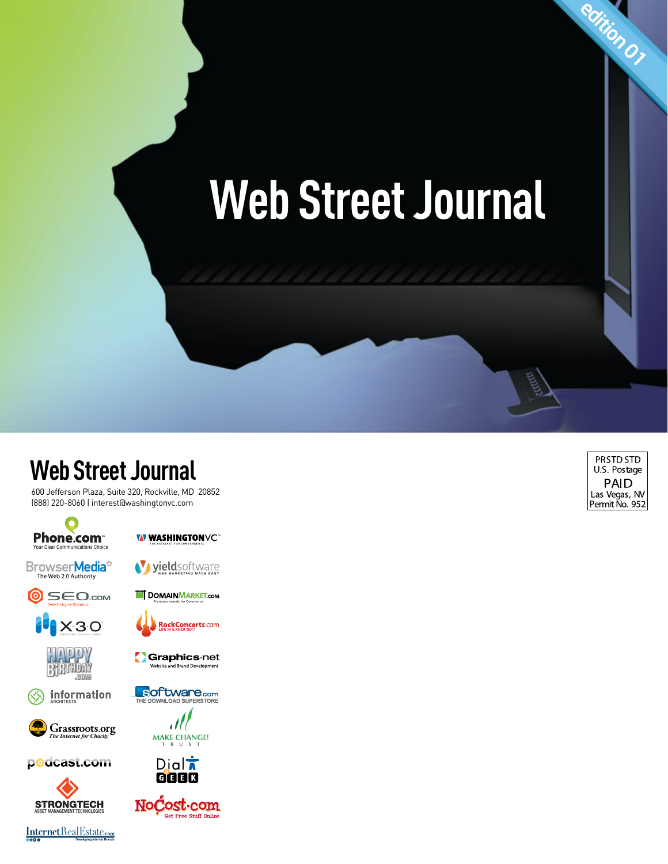# **Web Street Journal**

## **Web Street Journal**

600 Jefferson Plaza, Suite 320, Rockville, MD 20852 (888) 220-8060 | interest@washingtonvc.com





BrowserMedia<sup>®</sup>











podcast.com



Internet Real Estate.com





edition or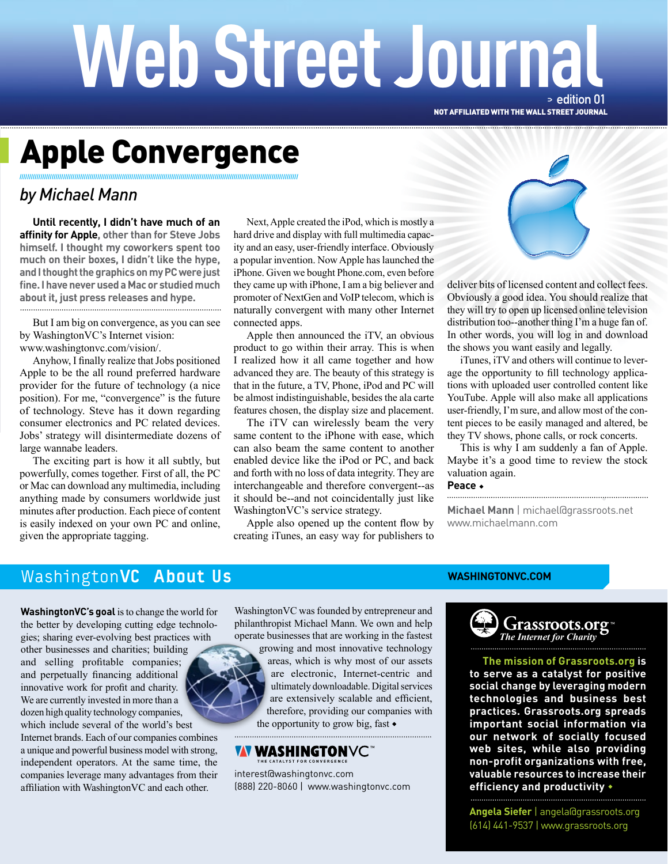# > edition 01 **Web Street Journal**

NOT AFFILIATED WITH THE WALL STREET JOURNAL

## Apple Convergence

**///////////////////////////////////////////////////////////////////////////////////////////////////////////////////////////////////////////////////**

### *by Michael Mann*

**Until recently, I didn't have much of an affinity for Apple, other than for Steve Jobs himself. I thought my coworkers spent too much on their boxes, I didn't like the hype, and I thought the graphics on my PC were just fine. I have never used a Mac or studied much about it, just press releases and hype.**  

But I am big on convergence, as you can see by WashingtonVC's Internet vision: www.washingtonvc.com/vision/.

Anyhow, I finally realize that Jobs positioned Apple to be the all round preferred hardware provider for the future of technology (a nice position). For me, "convergence" is the future of technology. Steve has it down regarding consumer electronics and PC related devices. Jobs' strategy will disintermediate dozens of large wannabe leaders.

The exciting part is how it all subtly, but powerfully, comes together. First of all, the PC or Mac can download any multimedia, including anything made by consumers worldwide just minutes after production. Each piece of content is easily indexed on your own PC and online, given the appropriate tagging.

Next, Apple created the iPod, which is mostly a hard drive and display with full multimedia capacity and an easy, user-friendly interface. Obviously a popular invention. Now Apple has launched the iPhone. Given we bought Phone.com, even before they came up with iPhone, I am a big believer and promoter of NextGen and VoIP telecom, which is naturally convergent with many other Internet connected apps.

Apple then announced the iTV, an obvious product to go within their array. This is when I realized how it all came together and how advanced they are. The beauty of this strategy is that in the future, a TV, Phone, iPod and PC will be almost indistinguishable, besides the ala carte features chosen, the display size and placement.

The iTV can wirelessly beam the very same content to the iPhone with ease, which can also beam the same content to another enabled device like the iPod or PC, and back and forth with no loss of data integrity. They are interchangeable and therefore convergent--as it should be--and not coincidentally just like WashingtonVC's service strategy.

Apple also opened up the content flow by creating iTunes, an easy way for publishers to



deliver bits of licensed content and collect fees. Obviously a good idea. You should realize that they will try to open up licensed online television distribution too--another thing I'm a huge fan of. In other words, you will log in and download the shows you want easily and legally.

iTunes, iTV and others will continue to leverage the opportunity to fill technology applications with uploaded user controlled content like YouTube. Apple will also make all applications user-friendly, I'm sure, and allow most of the content pieces to be easily managed and altered, be they TV shows, phone calls, or rock concerts.

This is why I am suddenly a fan of Apple. Maybe it's a good time to review the stock valuation again.

#### **Peace**

**Michael Mann** | michael@grassroots.net www.michaelmann.com

### WashingtonVC About Us

**WashingtonVC's goal** is to change the world for the better by developing cutting edge technologies; sharing ever-evolving best practices with

other businesses and charities; building and selling profitable companies; and perpetually financing additional innovative work for profit and charity. We are currently invested in more than a dozen high quality technology companies, which include several of the world's best Internet brands. Each of our companies combines a unique and powerful business model with strong, independent operators. At the same time, the companies leverage many advantages from their affiliation with WashingtonVC and each other.

WashingtonVC was founded by entrepreneur and philanthropist Michael Mann. We own and help operate businesses that are working in the fastest

> growing and most innovative technology areas, which is why most of our assets are electronic, Internet-centric and ultimately downloadable. Digital services are extensively scalable and efficient, therefore, providing our companies with the opportunity to grow big, fast

### **WASHINGTONVC**

interest@washingtonvc.com (888) 220-8060 | www.washingtonvc.com

### **WASHINGTONVC.COM**



### **The mission of Grassroots.org is**

**to serve as a catalyst for positive social change by leveraging modern technologies and business best practices. Grassroots.org spreads important social information via our network of socially focused web sites, while also providing non-profit organizations with free, valuable resources to increase their efficiency and productivity**

**Angela Siefer** | angela@grassroots.org (614) 441-9537 | www.grassroots.org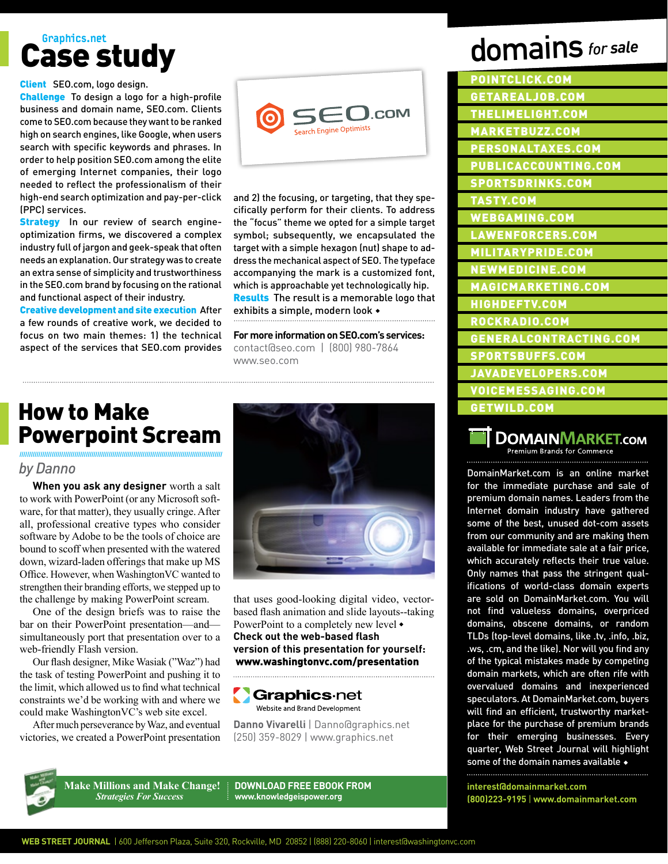### Case study Graphics.net

#### Client SEO.com, logo design.

Challenge To design a logo for a high-profile business and domain name, SEO.com. Clients come to SEO.com because they want to be ranked high on search engines, like Google, when users search with specific keywords and phrases. In order to help position SEO.com among the elite of emerging Internet companies, their logo needed to reflect the professionalism of their high-end search optimization and pay-per-click (PPC) services.

**Strategy** In our review of search engineoptimization firms, we discovered a complex industry full of jargon and geek-speak that often needs an explanation. Our strategy was to create an extra sense of simplicity and trustworthiness in the SEO.com brand by focusing on the rational and functional aspect of their industry.

Creative development and site execution After a few rounds of creative work, we decided to focus on two main themes: 1) the technical aspect of the services that SEO.com provides



and 2) the focusing, or targeting, that they specifically perform for their clients. To address the "focus" theme we opted for a simple target symbol; subsequently, we encapsulated the target with a simple hexagon (nut) shape to address the mechanical aspect of SEO. The typeface accompanying the mark is a customized font, which is approachable yet technologically hip. Results The result is a memorable logo that exhibits a simple, modern look

**For more information on SEO.com's services:** contact@seo.com | (800) 980-7864 www.seo.com

### How to Make Powerpoint Scream

**///////////////////////////////////////////////////////////////////////////////////////////////////////////**

### *by Danno*

**When you ask any designer** worth a salt to work with PowerPoint (or any Microsoft software, for that matter), they usually cringe. After all, professional creative types who consider software by Adobe to be the tools of choice are bound to scoff when presented with the watered down, wizard-laden offerings that make up MS Office. However, when WashingtonVC wanted to strengthen their branding efforts, we stepped up to the challenge by making PowerPoint scream.

One of the design briefs was to raise the bar on their PowerPoint presentation—and simultaneously port that presentation over to a web-friendly Flash version.

Our flash designer, Mike Wasiak ("Waz") had the task of testing PowerPoint and pushing it to the limit, which allowed us to find what technical constraints we'd be working with and where we could make WashingtonVC's web site excel.

After much perseverance by Waz, and eventual victories, we created a PowerPoint presentation



that uses good-looking digital video, vectorbased flash animation and slide layouts--taking PowerPoint to a completely new level  $\bullet$ **Check out the web-based flash version of this presentation for yourself:** www.washingtonvc.com/presentation

### Graphics.net Website and Brand Development

**Danno Vivarelli** | Danno@graphics.net (250) 359-8029 | www.graphics.net

**Make Millions and Make Change!** *Strategies For Success* **DOWNLOAD FREE EBOOK FROM www.knowledgeispower.org**

domains, obscene domains, or random TLDs (top-level domains, like .tv, .info, .biz,

.ws, .cm, and the like). Nor will you find any of the typical mistakes made by competing domain markets, which are often rife with overvalued domains and inexperienced speculators. At DomainMarket.com, buyers will find an efficient, trustworthy marketplace for the purchase of premium brands for their emerging businesses. Every quarter, Web Street Journal will highlight some of the domain names available  $\bullet$ 

**interest@domainmarket.com (800)223-9195** | **www.domainmarket.com** 

## domains *for sale*

| POINTCLICK.COM            |
|---------------------------|
| <b>GETAREALJOB.COM</b>    |
| THELIMELIGHT.COM          |
| MARKETBUZZ.COM            |
| <b>PERSONALTAXES.COM</b>  |
| PUBLICACCOUNTING.COM      |
| <b>SPORTSDRINKS.COM</b>   |
| <b>TASTY.COM</b>          |
| WEBGAMING.COM             |
| <b>LAWENFORCERS.COM</b>   |
| <b>MILITARYPRIDE.COM</b>  |
| NEWMEDICINE.COM           |
| MAGICMARKETING.COM        |
| <b>HIGHDEFTV.COM</b>      |
| ROCKRADIO.COM             |
| GENERALCONTRACTING.COM    |
| SPORTSBUFFS.COM           |
| <b>JAVADEVELOPERS.COM</b> |
| VOICEMESSAGING.COM        |
| <b>GETWILD.COM</b>        |
|                           |



DomainMarket.com is an online market for the immediate purchase and sale of premium domain names. Leaders from the Internet domain industry have gathered some of the best, unused dot-com assets from our community and are making them available for immediate sale at a fair price, which accurately reflects their true value. Only names that pass the stringent qualifications of world-class domain experts are sold on DomainMarket.com. You will not find valueless domains, overpriced